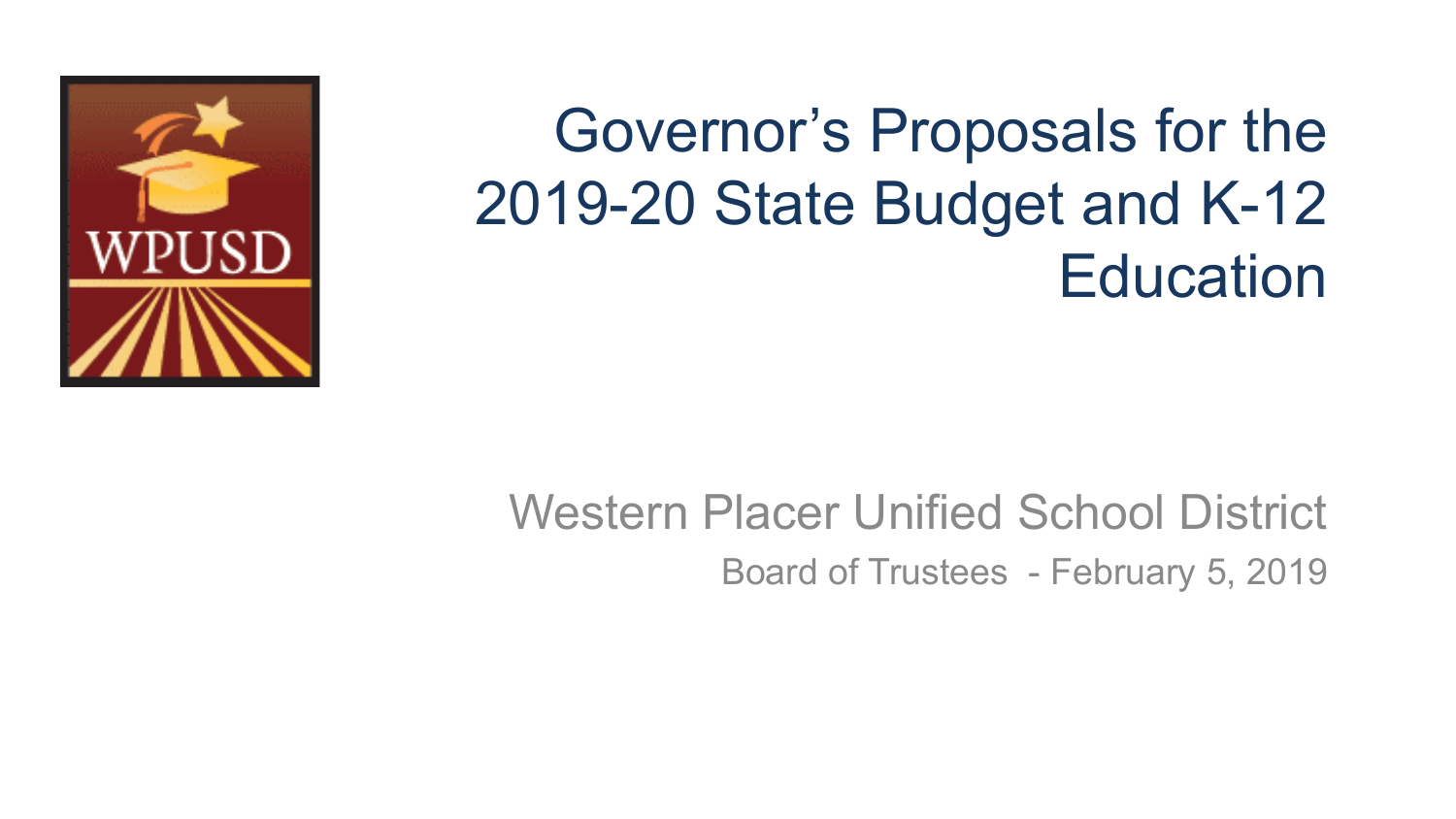

### Western Placer Unified School District Board of Trustees - February 5, 2019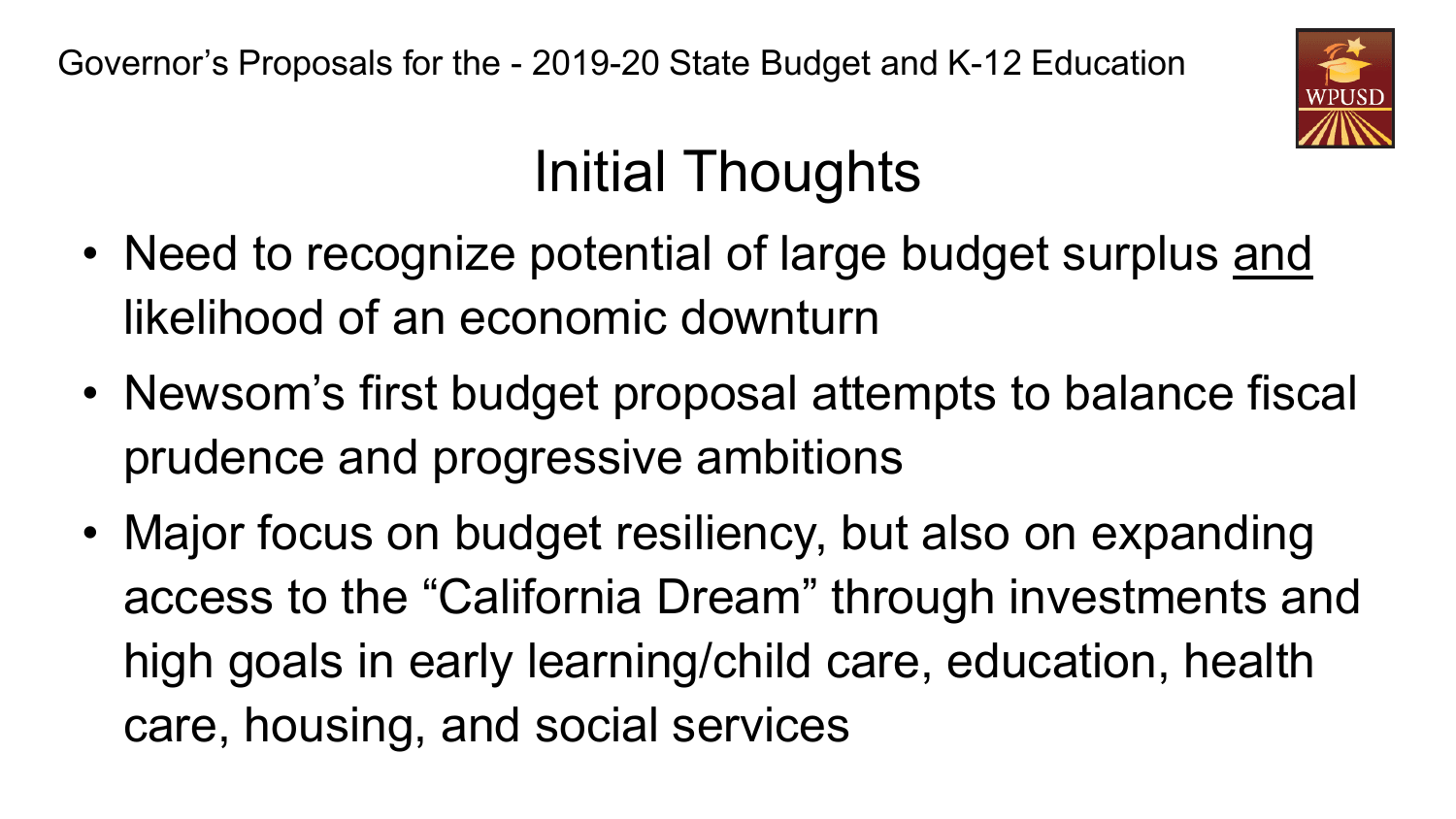

## Initial Thoughts

- Need to recognize potential of large budget surplus and likelihood of an economic downturn
- Newsom's first budget proposal attempts to balance fiscal prudence and progressive ambitions
- Major focus on budget resiliency, but also on expanding access to the "California Dream" through investments and high goals in early learning/child care, education, health care, housing, and social services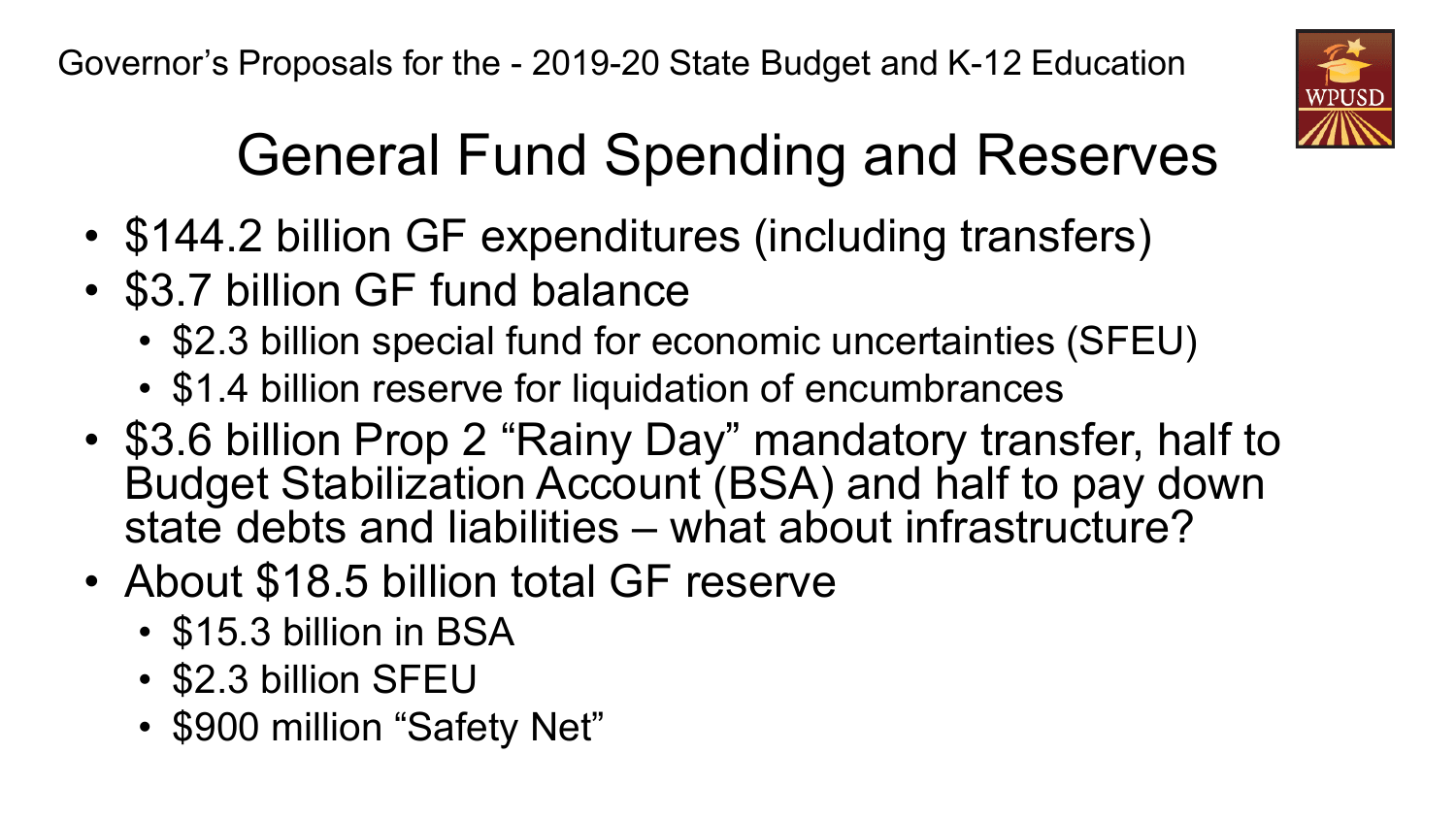

# General Fund Spending and Reserves

- \$144.2 billion GF expenditures (including transfers)
- \$3.7 billion GF fund balance
	- \$2.3 billion special fund for economic uncertainties (SFEU)
	- \$1.4 billion reserve for liquidation of encumbrances
- \$3.6 billion Prop 2 "Rainy Day" mandatory transfer, half to Budget Stabilization Account (BSA) and half to pay down state debts and liabilities – what about infrastructure?
- About \$18.5 billion total GF reserve
	- \$15.3 billion in BSA
	- \$2.3 billion SFEU
	- \$900 million "Safety Net"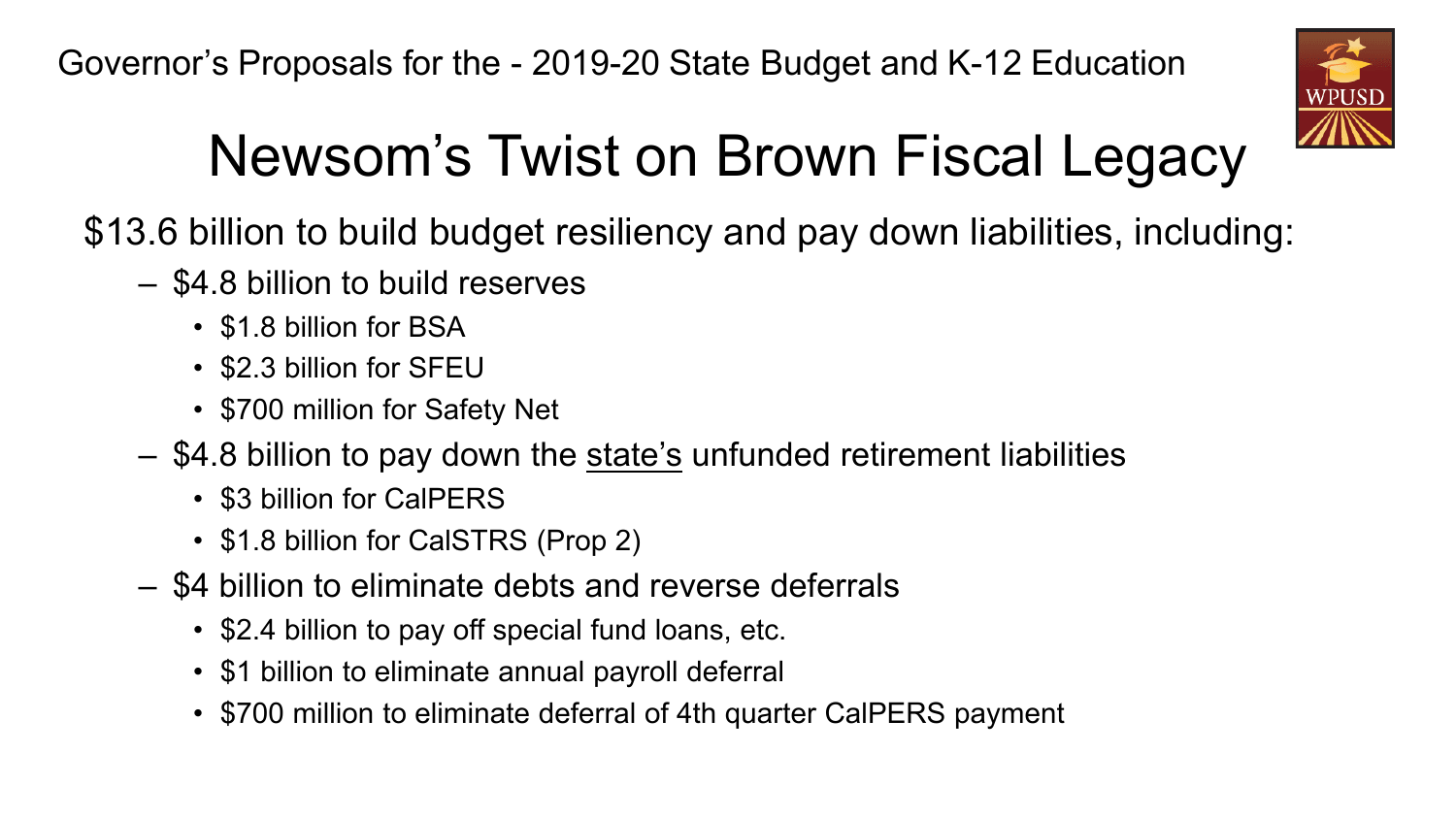

## Newsom's Twist on Brown Fiscal Legacy

\$13.6 billion to build budget resiliency and pay down liabilities, including:

- \$4.8 billion to build reserves
	- \$1.8 billion for BSA
	- \$2.3 billion for SFEU
	- \$700 million for Safety Net
- \$4.8 billion to pay down the state's unfunded retirement liabilities
	- \$3 billion for CalPERS
	- \$1.8 billion for CalSTRS (Prop 2)
- \$4 billion to eliminate debts and reverse deferrals
	- \$2.4 billion to pay off special fund loans, etc.
	- \$1 billion to eliminate annual payroll deferral
	- \$700 million to eliminate deferral of 4th quarter CalPERS payment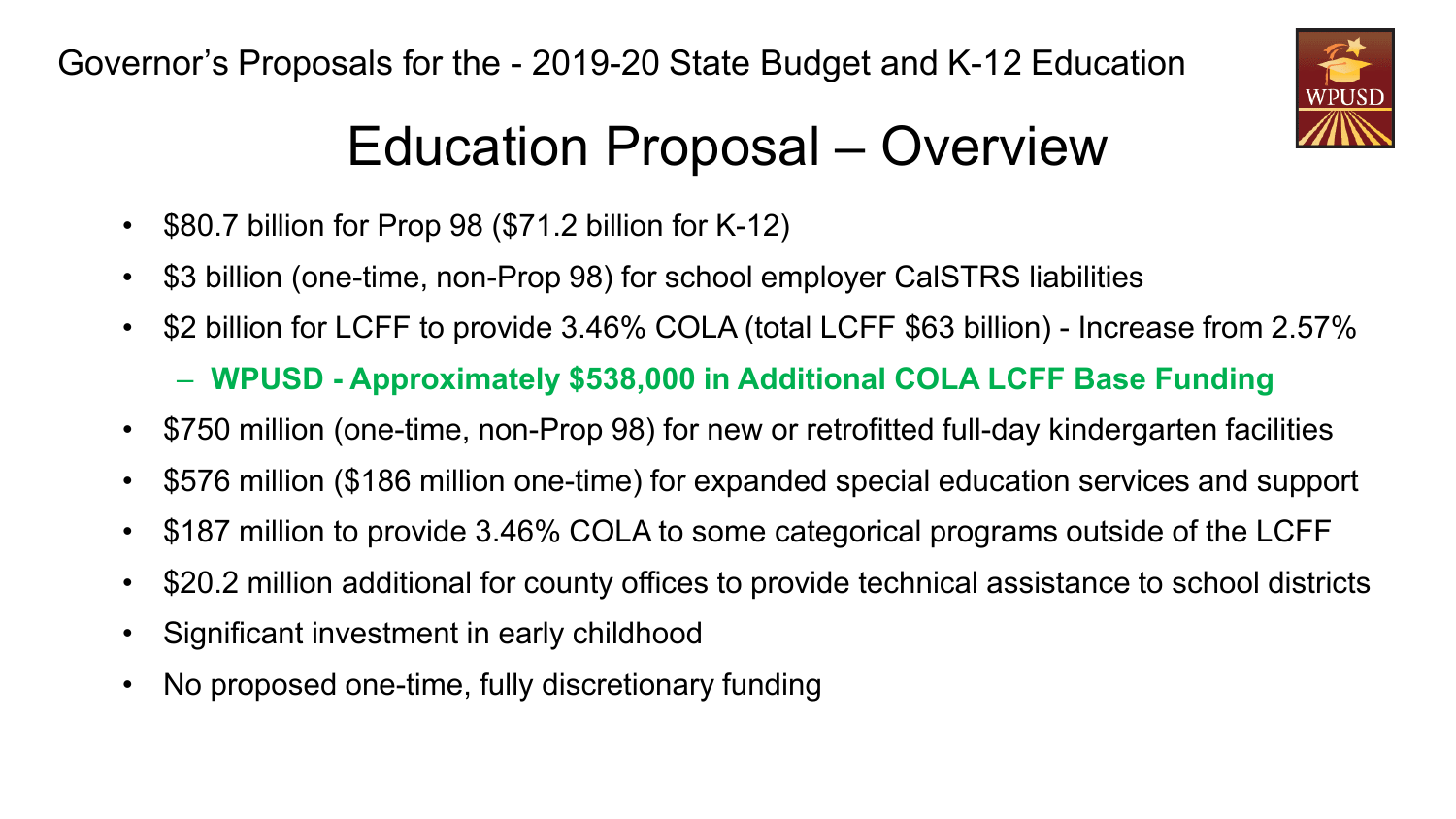

### Education Proposal – Overview

- \$80.7 billion for Prop 98 (\$71.2 billion for K-12)
- \$3 billion (one-time, non-Prop 98) for school employer CalSTRS liabilities
- \$2 billion for LCFF to provide 3.46% COLA (total LCFF \$63 billion) Increase from 2.57% – **WPUSD - Approximately \$538,000 in Additional COLA LCFF Base Funding**
- \$750 million (one-time, non-Prop 98) for new or retrofitted full-day kindergarten facilities
- \$576 million (\$186 million one-time) for expanded special education services and support
- \$187 million to provide 3.46% COLA to some categorical programs outside of the LCFF
- \$20.2 million additional for county offices to provide technical assistance to school districts
- Significant investment in early childhood
- No proposed one-time, fully discretionary funding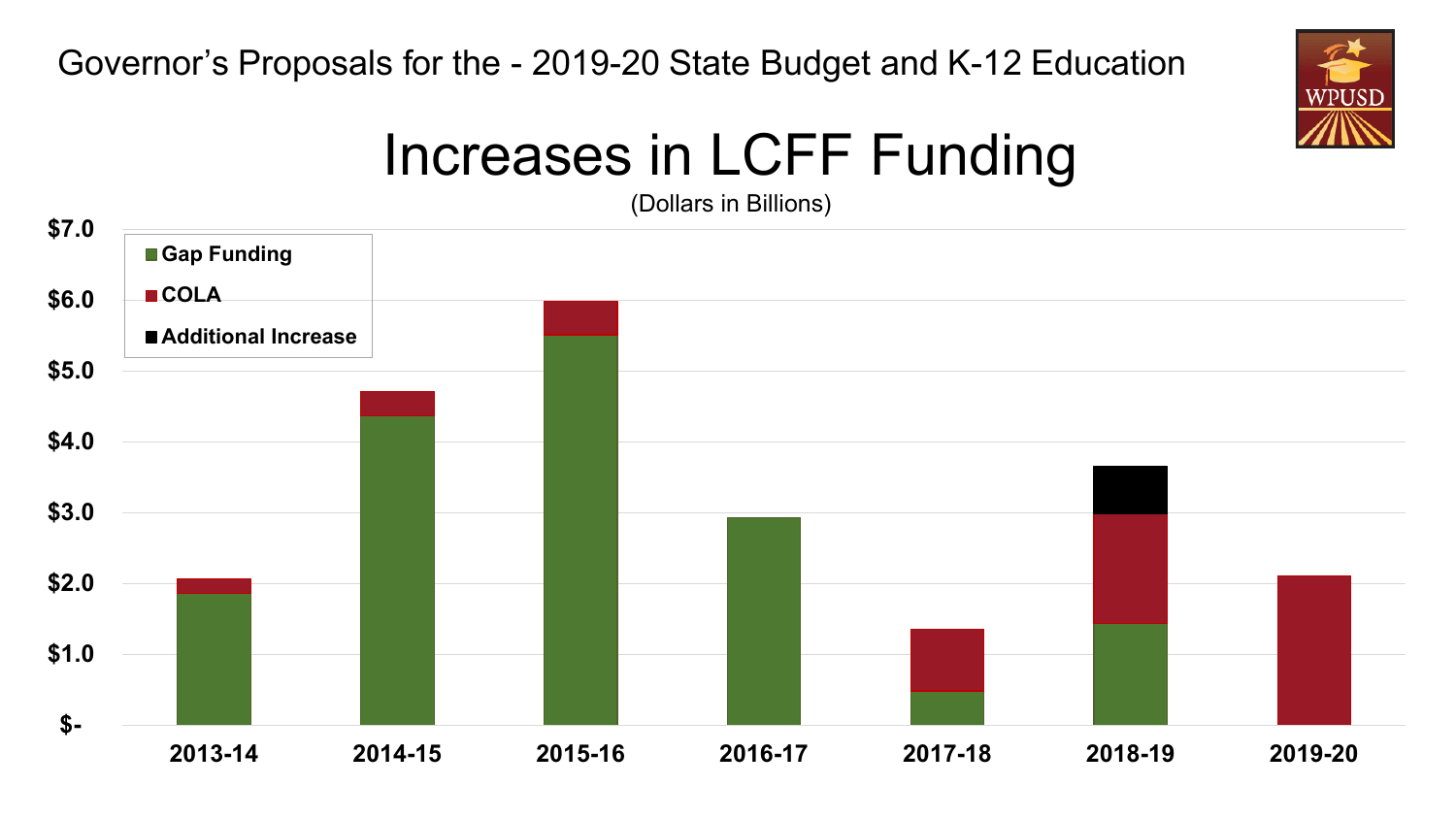

### Increases in LCFF Funding

(Dollars in Billions)

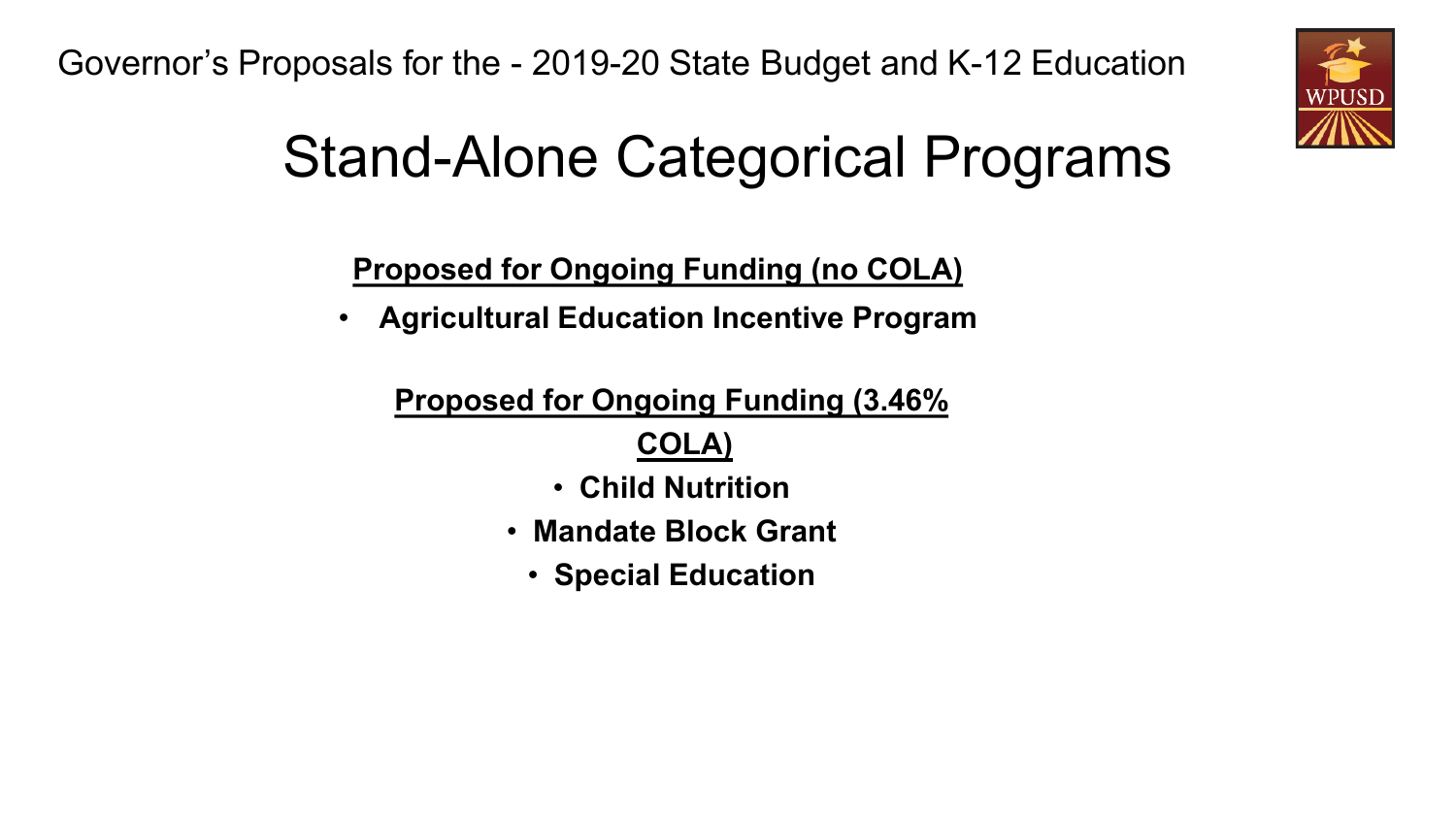

## Stand-Alone Categorical Programs

**Proposed for Ongoing Funding (no COLA)**

• **Agricultural Education Incentive Program**

**Proposed for Ongoing Funding (3.46%** 

**COLA)**

- **Child Nutrition**
- **Mandate Block Grant**
	- **Special Education**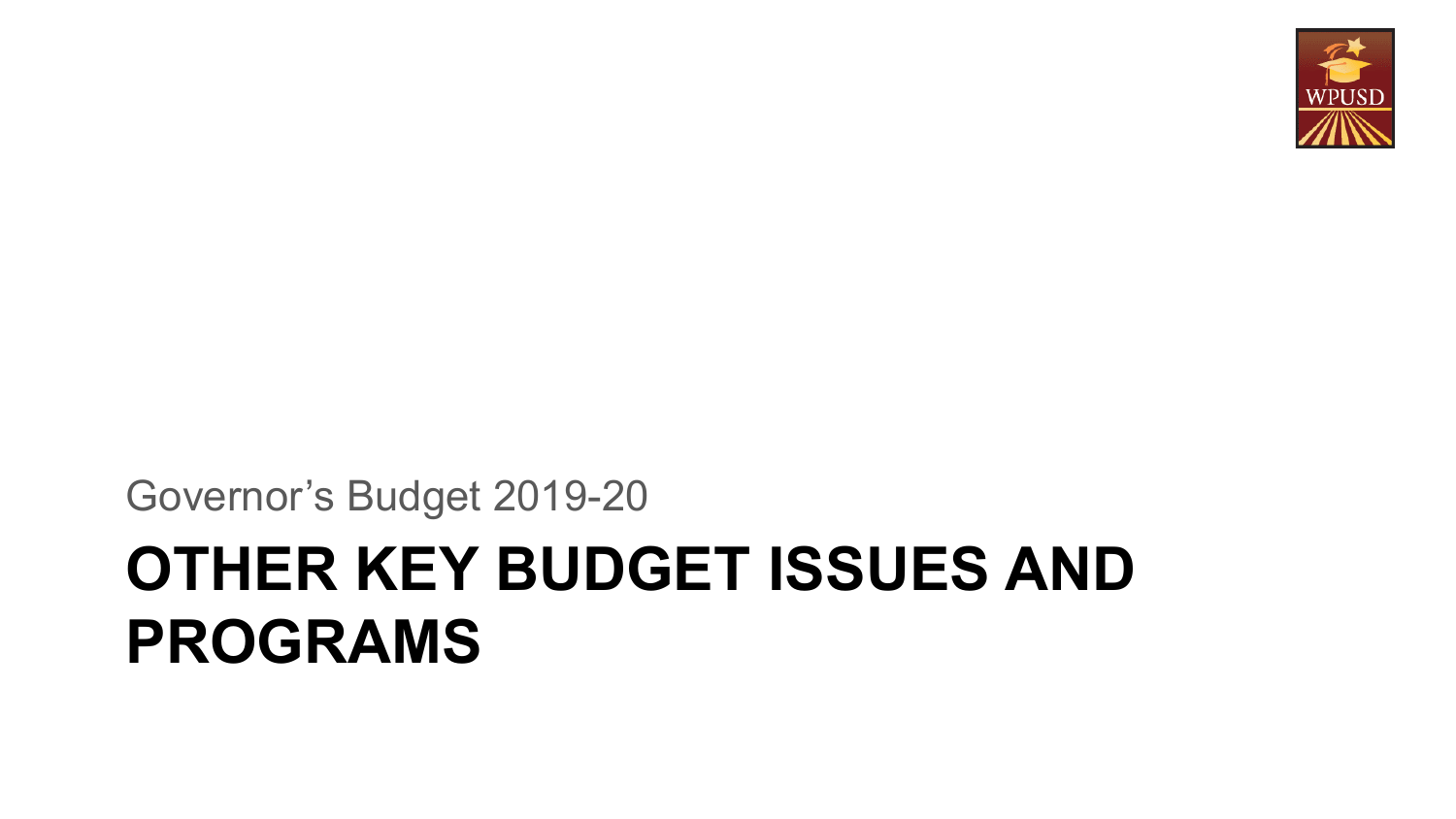# **OTHER KEY BUDGET ISSUES AND PROGRAMS**

Governor's Budget 2019-20

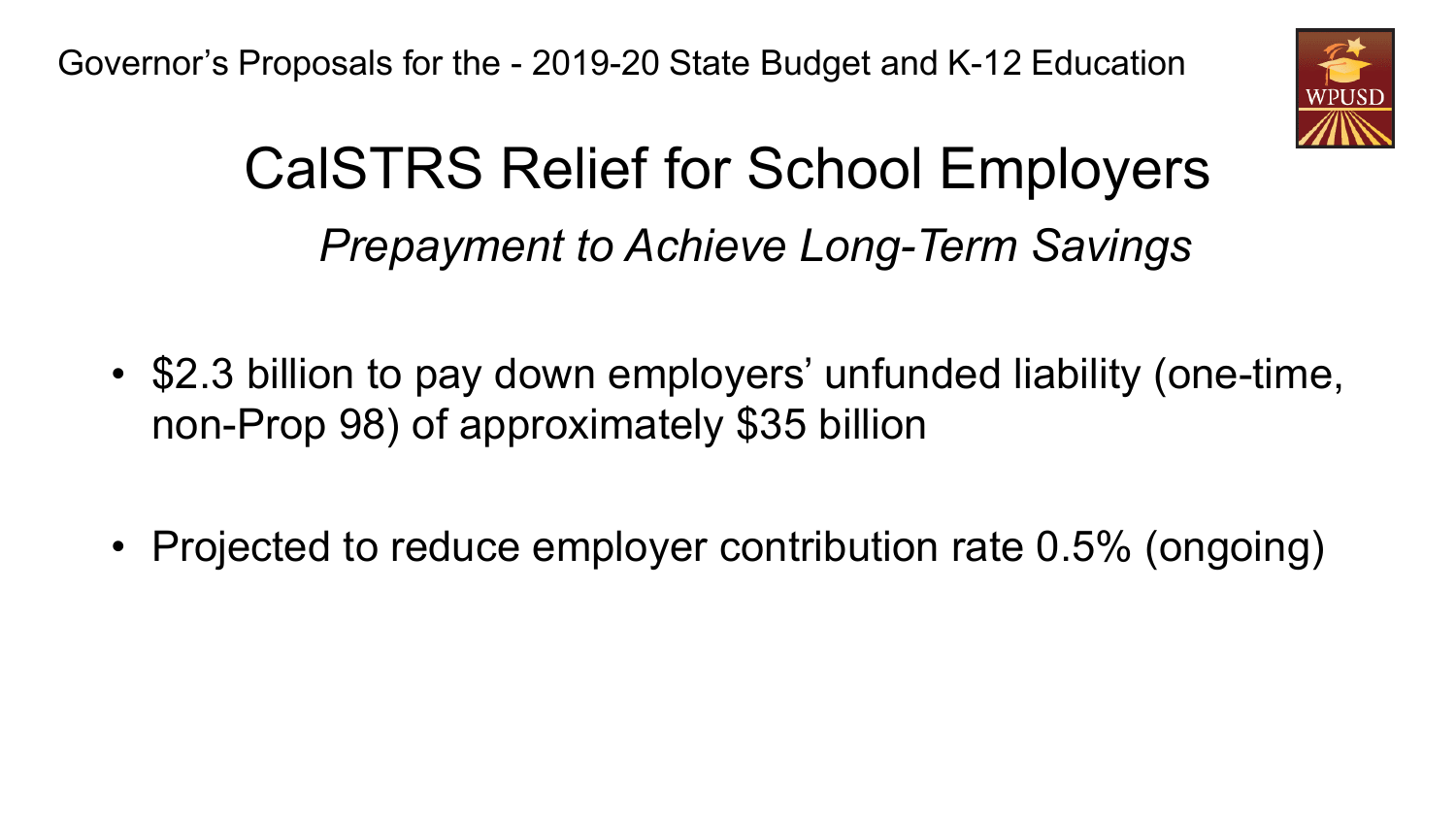

## CalSTRS Relief for School Employers *Prepayment to Achieve Long-Term Savings*

- \$2.3 billion to pay down employers' unfunded liability (one-time, non-Prop 98) of approximately \$35 billion
- Projected to reduce employer contribution rate 0.5% (ongoing)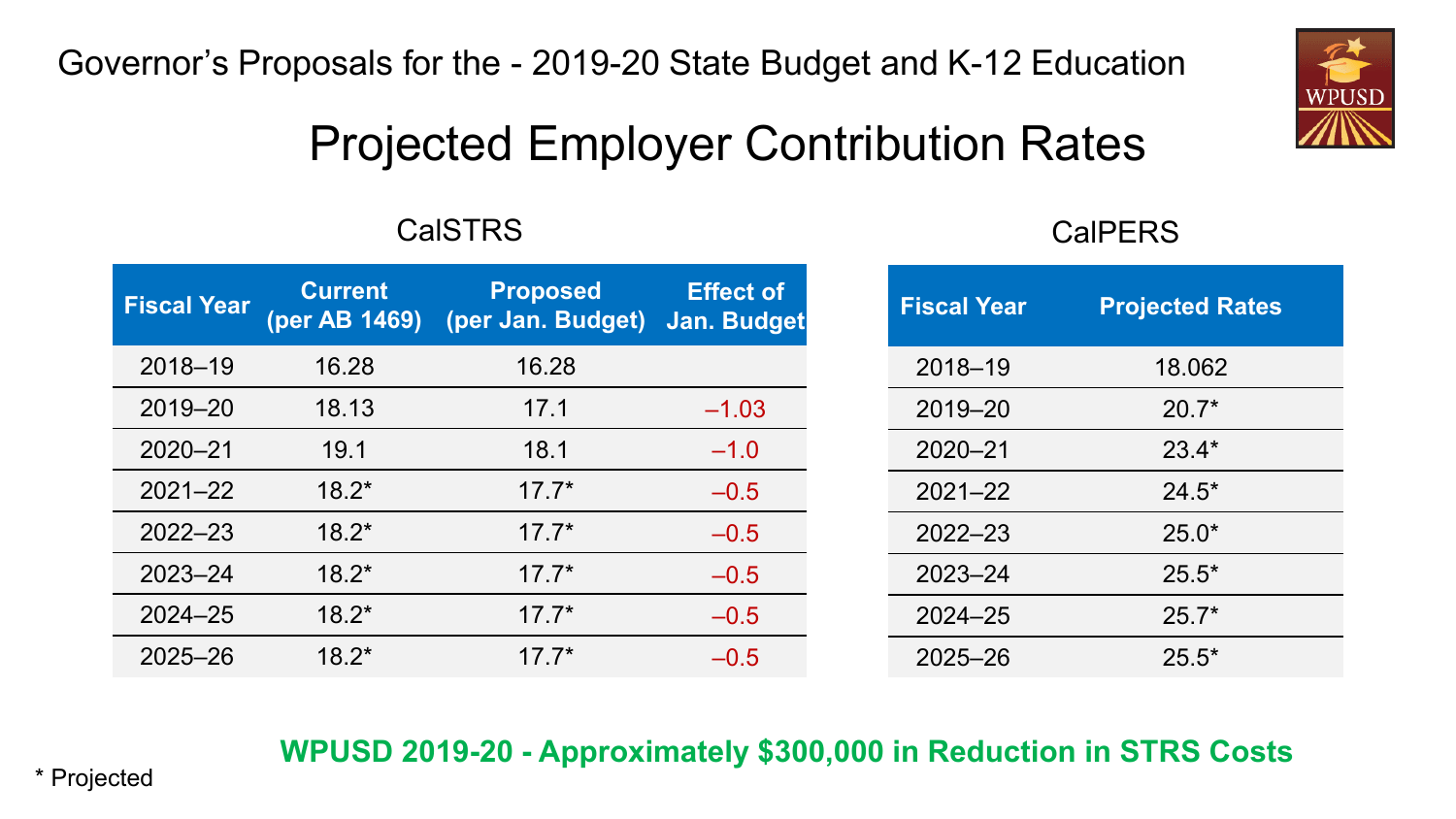### Projected Employer Contribution Rates

### CalSTRS CalPERS

| <b>Fiscal Year</b> | <b>Current</b><br>(per AB 1469) | <b>Proposed</b><br>(per Jan. Budget) | <b>Effect of</b><br>Jan. Budget | <b>Fiscal Year</b> | <b>Projected Rates</b> |
|--------------------|---------------------------------|--------------------------------------|---------------------------------|--------------------|------------------------|
| $2018 - 19$        | 16.28                           | 16.28                                |                                 | $2018 - 19$        | 18.062                 |
| 2019-20            | 18.13                           | 17.1                                 | $-1.03$                         | 2019-20            | $20.7*$                |
| $2020 - 21$        | 19.1                            | 18.1                                 | $-1.0$                          | $2020 - 21$        | $23.4*$                |
| $2021 - 22$        | $18.2*$                         | $17.7*$                              | $-0.5$                          | $2021 - 22$        | $24.5*$                |
| $2022 - 23$        | $18.2*$                         | $17.7*$                              | $-0.5$                          | $2022 - 23$        | $25.0*$                |
| $2023 - 24$        | $18.2*$                         | $17.7*$                              | $-0.5$                          | $2023 - 24$        | $25.5*$                |
| $2024 - 25$        | $18.2*$                         | $17.7*$                              | $-0.5$                          | $2024 - 25$        | $25.7*$                |
| $2025 - 26$        | $18.2*$                         | $17.7*$                              | $-0.5$                          | $2025 - 26$        | $25.5*$                |

### **WPUSD 2019-20 - Approximately \$300,000 in Reduction in STRS Costs**

\* Projected 2012 and 2012 and 2012 and 2012 and 2012 and 2012 and 2012 and 2012 and 2012 and 2012 and 2012 and 201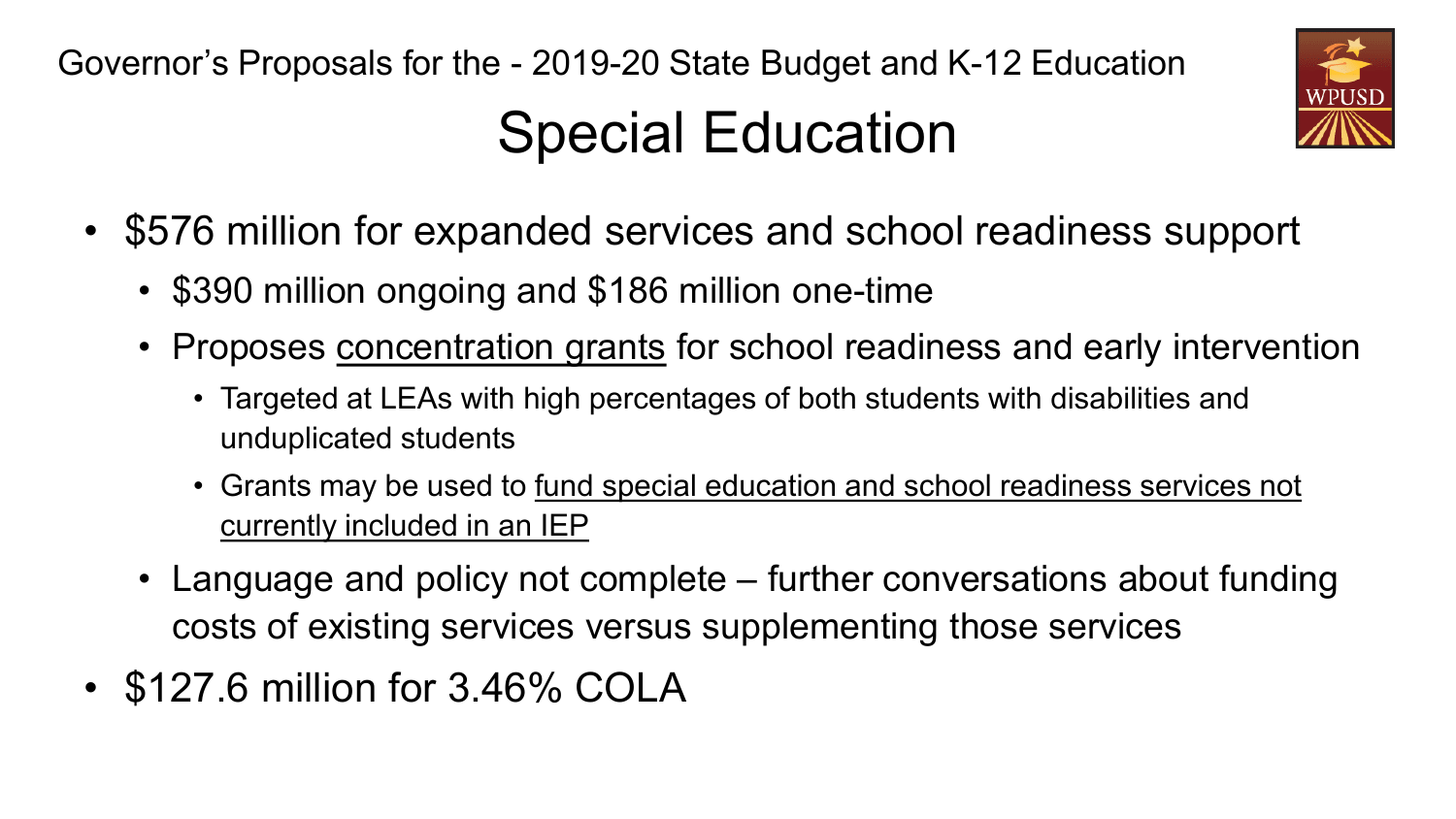## Special Education



- \$576 million for expanded services and school readiness support
	- \$390 million ongoing and \$186 million one-time
	- Proposes concentration grants for school readiness and early intervention
		- Targeted at LEAs with high percentages of both students with disabilities and unduplicated students
		- Grants may be used to fund special education and school readiness services not currently included in an IEP
	- Language and policy not complete further conversations about funding costs of existing services versus supplementing those services
- \$127.6 million for 3.46% COLA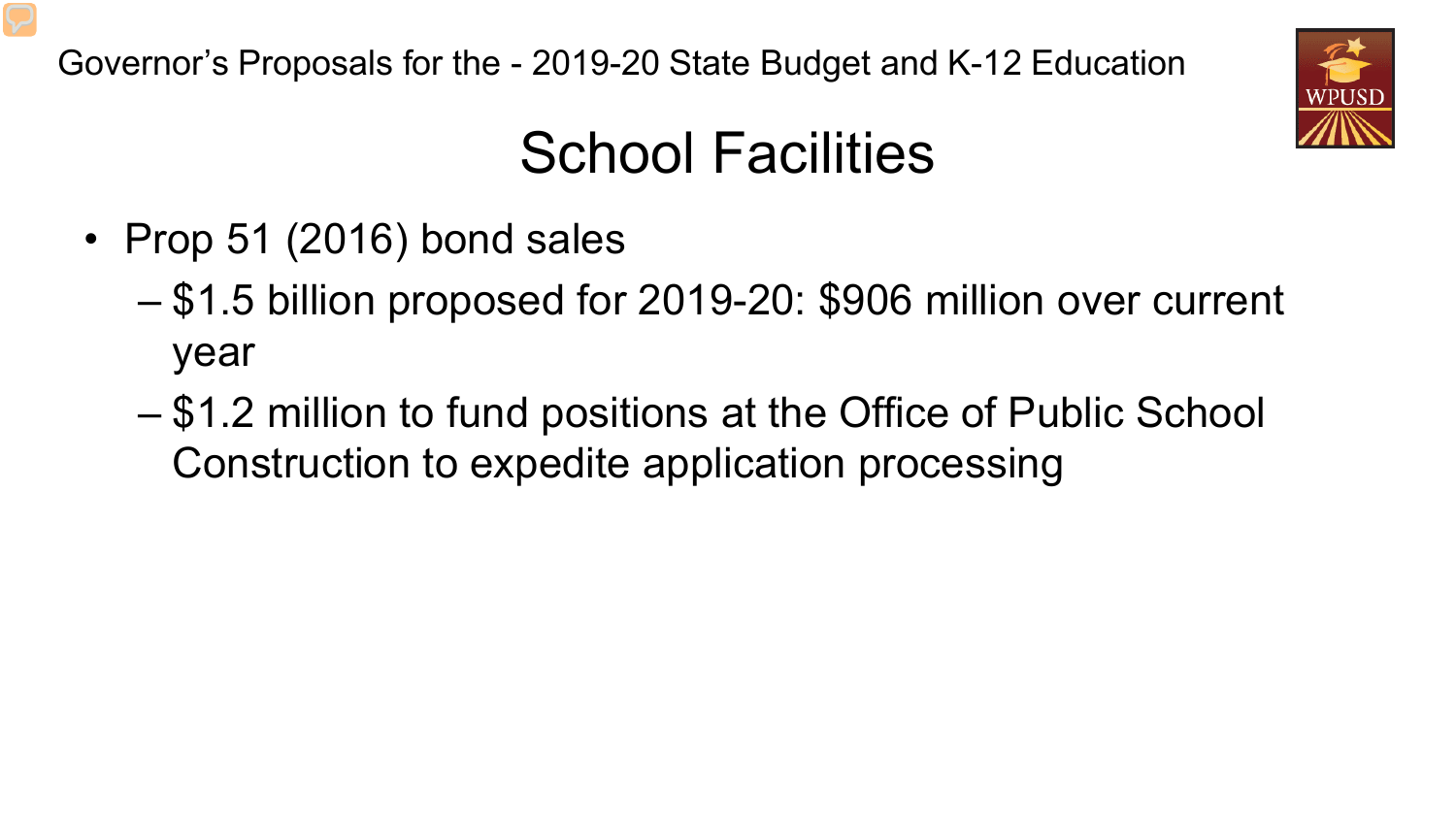

### School Facilities

- Prop 51 (2016) bond sales
	- \$1.5 billion proposed for 2019-20: \$906 million over current year
	- \$1.2 million to fund positions at the Office of Public School Construction to expedite application processing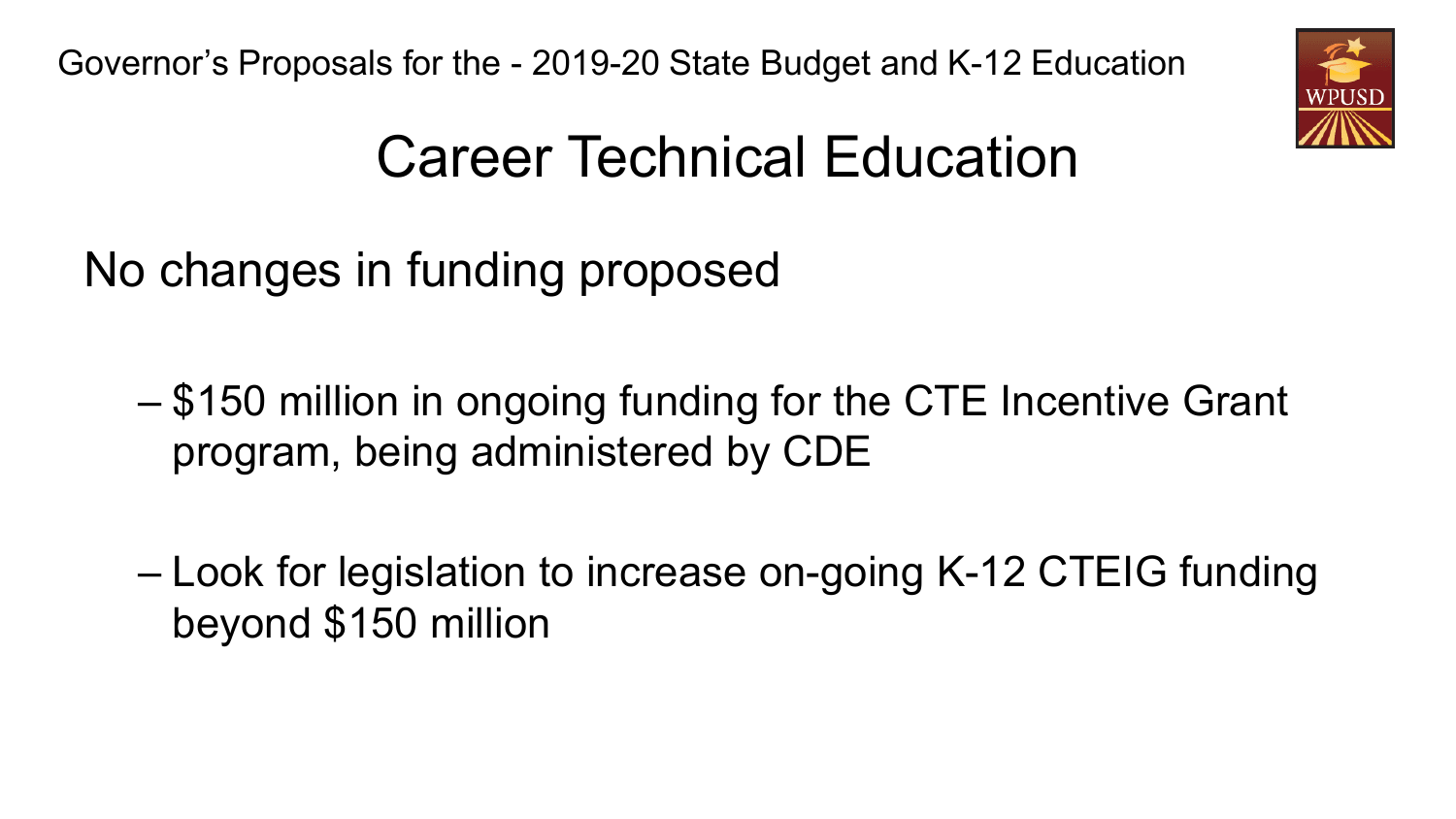

## Career Technical Education

No changes in funding proposed

- \$150 million in ongoing funding for the CTE Incentive Grant program, being administered by CDE
- Look for legislation to increase on-going K-12 CTEIG funding beyond \$150 million